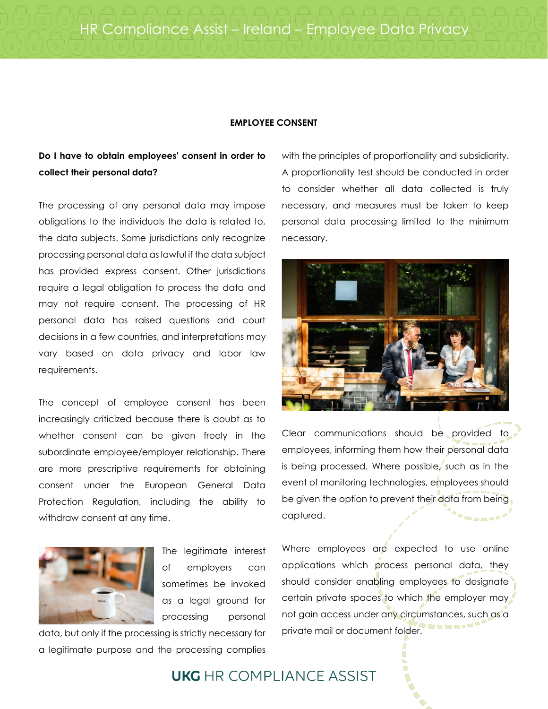HR Compliance Assist – Ireland – Employee Data Privacy

#### **EMPLOYEE CONSENT**

### **Do I have to obtain employees' consent in order to collect their personal data?**

The processing of any personal data may impose obligations to the individuals the data is related to, the data subjects. Some jurisdictions only recognize processing personal data as lawful if the data subject has provided express consent. Other jurisdictions require a legal obligation to process the data and may not require consent. The processing of HR personal data has raised questions and court decisions in a few countries, and interpretations may vary based on data privacy and labor law requirements.

The concept of employee consent has been increasingly criticized because there is doubt as to whether consent can be given freely in the subordinate employee/employer relationship. There are more prescriptive requirements for obtaining consent under the European General Data Protection Regulation, including the ability to withdraw consent at any time.



The legitimate interest of employers can sometimes be invoked as a legal ground for processing personal

data, but only if the processing is strictly necessary for a legitimate purpose and the processing complies

with the principles of proportionality and subsidiarity. A proportionality test should be conducted in order to consider whether all data collected is truly necessary, and measures must be taken to keep personal data processing limited to the minimum necessary.



Clear communications should be provided to employees, informing them how their personal data is being processed. Where possible, such as in the event of monitoring technologies, employees should be given the option to prevent their data from being captured.

Where employees are expected to use online applications which process personal data, they should consider enabling employees to designate certain private spaces to which the employer may not gain access under any circumstances, such as a private mail or document folder.

## **UKG** HR COMPI IANCE ASSIST